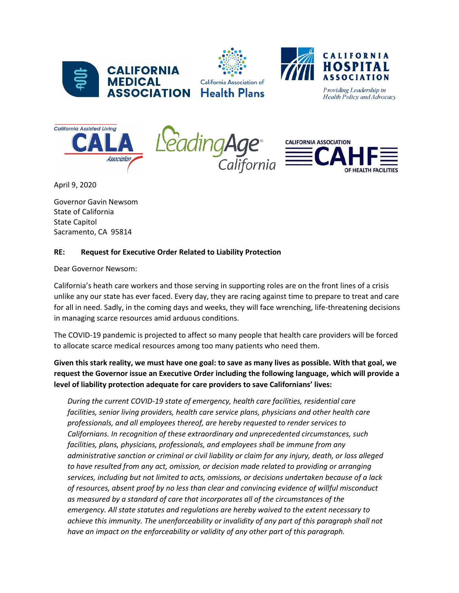





Providing Leadership in Health Policy and Advocacy







April 9, 2020

Governor Gavin Newsom State of California State Capitol Sacramento, CA 95814

## **RE: Request for Executive Order Related to Liability Protection**

Dear Governor Newsom:

California's heath care workers and those serving in supporting roles are on the front lines of a crisis unlike any our state has ever faced. Every day, they are racing against time to prepare to treat and care for all in need. Sadly, in the coming days and weeks, they will face wrenching, life-threatening decisions in managing scarce resources amid arduous conditions.

The COVID-19 pandemic is projected to affect so many people that health care providers will be forced to allocate scarce medical resources among too many patients who need them.

## **Given this stark reality, we must have one goal: to save as many lives as possible. With that goal, we request the Governor issue an Executive Order including the following language, which will provide a level of liability protection adequate for care providers to save Californians' lives:**

*During the current COVID-19 state of emergency, health care facilities, residential care facilities, senior living providers, health care service plans, physicians and other health care professionals, and all employees thereof, are hereby requested to render services to Californians. In recognition of these extraordinary and unprecedented circumstances, such facilities, plans, physicians, professionals, and employees shall be immune from any administrative sanction or criminal or civil liability or claim for any injury, death, or loss alleged to have resulted from any act, omission, or decision made related to providing or arranging services, including but not limited to acts, omissions, or decisions undertaken because of a lack of resources, absent proof by no less than clear and convincing evidence of willful misconduct as measured by a standard of care that incorporates all of the circumstances of the emergency. All state statutes and regulations are hereby waived to the extent necessary to achieve this immunity. The unenforceability or invalidity of any part of this paragraph shall not have an impact on the enforceability or validity of any other part of this paragraph.*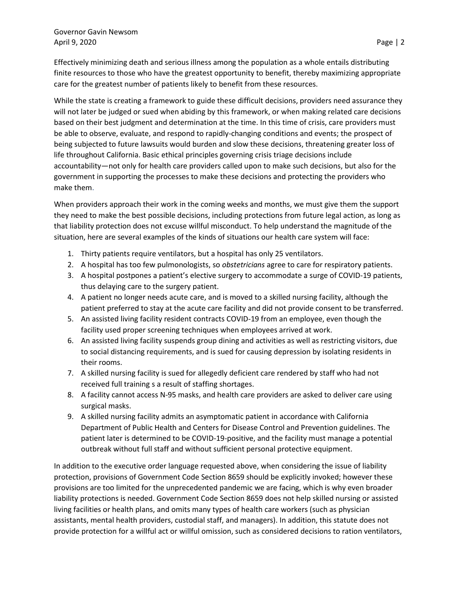Effectively minimizing death and serious illness among the population as a whole entails distributing finite resources to those who have the greatest opportunity to benefit, thereby maximizing appropriate care for the greatest number of patients likely to benefit from these resources.

While the state is creating a framework to guide these difficult decisions, providers need assurance they will not later be judged or sued when abiding by this framework, or when making related care decisions based on their best judgment and determination at the time. In this time of crisis, care providers must be able to observe, evaluate, and respond to rapidly-changing conditions and events; the prospect of being subjected to future lawsuits would burden and slow these decisions, threatening greater loss of life throughout California. Basic ethical principles governing crisis triage decisions include accountability—not only for health care providers called upon to make such decisions, but also for the government in supporting the processes to make these decisions and protecting the providers who make them.

When providers approach their work in the coming weeks and months, we must give them the support they need to make the best possible decisions, including protections from future legal action, as long as that liability protection does not excuse willful misconduct. To help understand the magnitude of the situation, here are several examples of the kinds of situations our health care system will face:

- 1. Thirty patients require ventilators, but a hospital has only 25 ventilators.
- 2. A hospital has too few pulmonologists, so *obstetricians* agree to care for respiratory patients.
- 3. A hospital postpones a patient's elective surgery to accommodate a surge of COVID-19 patients, thus delaying care to the surgery patient.
- 4. A patient no longer needs acute care, and is moved to a skilled nursing facility, although the patient preferred to stay at the acute care facility and did not provide consent to be transferred.
- 5. An assisted living facility resident contracts COVID-19 from an employee, even though the facility used proper screening techniques when employees arrived at work.
- 6. An assisted living facility suspends group dining and activities as well as restricting visitors, due to social distancing requirements, and is sued for causing depression by isolating residents in their rooms.
- 7. A skilled nursing facility is sued for allegedly deficient care rendered by staff who had not received full training s a result of staffing shortages.
- 8. A facility cannot access N-95 masks, and health care providers are asked to deliver care using surgical masks.
- 9. A skilled nursing facility admits an asymptomatic patient in accordance with California Department of Public Health and Centers for Disease Control and Prevention guidelines. The patient later is determined to be COVID-19-positive, and the facility must manage a potential outbreak without full staff and without sufficient personal protective equipment.

In addition to the executive order language requested above, when considering the issue of liability protection, provisions of Government Code Section 8659 should be explicitly invoked; however these provisions are too limited for the unprecedented pandemic we are facing, which is why even broader liability protections is needed. Government Code Section 8659 does not help skilled nursing or assisted living facilities or health plans, and omits many types of health care workers (such as physician assistants, mental health providers, custodial staff, and managers). In addition, this statute does not provide protection for a willful act or willful omission, such as considered decisions to ration ventilators,